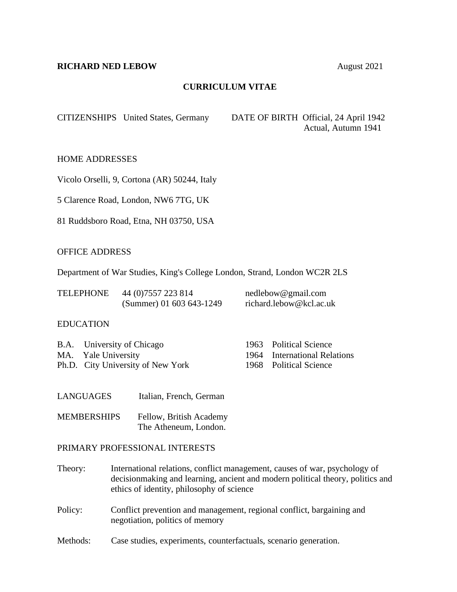### **RICHARD NED LEBOW** August 2021

## **CURRICULUM VITAE**

CITIZENSHIPS United States, Germany DATE OF BIRTH Official, 24 April 1942 Actual, Autumn 1941

HOME ADDRESSES

Vicolo Orselli, 9, Cortona (AR) 50244, Italy

5 Clarence Road, London, NW6 7TG, UK

81 Ruddsboro Road, Etna, NH 03750, USA

### OFFICE ADDRESS

Department of War Studies, King's College London, Strand, London WC2R 2LS

| <b>TELEPHONE</b> | 44 (0) 7557 223 814      | nedlebow@gmail.com      |
|------------------|--------------------------|-------------------------|
|                  | (Summer) 01 603 643-1249 | richard.lebow@kcl.ac.uk |

### EDUCATION

| B.A. University of Chicago        | 1963 Political Science       |
|-----------------------------------|------------------------------|
| MA. Yale University               | 1964 International Relations |
| Ph.D. City University of New York | 1968 Political Science       |

LANGUAGES Italian, French, German

MEMBERSHIPS Fellow, British Academy The Atheneum, London.

### PRIMARY PROFESSIONAL INTERESTS

Theory: International relations, conflict management, causes of war, psychology of decisionmaking and learning, ancient and modern political theory, politics and ethics of identity, philosophy of science

- Policy: Conflict prevention and management, regional conflict, bargaining and negotiation, politics of memory
- Methods: Case studies, experiments, counterfactuals, scenario generation.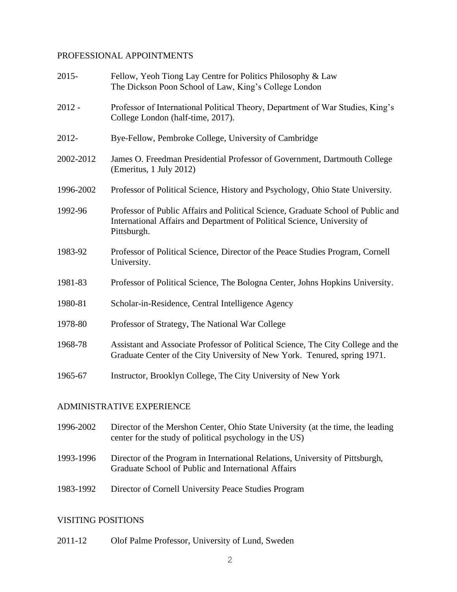## PROFESSIONAL APPOINTMENTS

| $2015 -$  | Fellow, Yeoh Tiong Lay Centre for Politics Philosophy & Law<br>The Dickson Poon School of Law, King's College London                                                        |
|-----------|-----------------------------------------------------------------------------------------------------------------------------------------------------------------------------|
| $2012 -$  | Professor of International Political Theory, Department of War Studies, King's<br>College London (half-time, 2017).                                                         |
| 2012-     | Bye-Fellow, Pembroke College, University of Cambridge                                                                                                                       |
| 2002-2012 | James O. Freedman Presidential Professor of Government, Dartmouth College<br>(Emeritus, 1 July 2012)                                                                        |
| 1996-2002 | Professor of Political Science, History and Psychology, Ohio State University.                                                                                              |
| 1992-96   | Professor of Public Affairs and Political Science, Graduate School of Public and<br>International Affairs and Department of Political Science, University of<br>Pittsburgh. |
| 1983-92   | Professor of Political Science, Director of the Peace Studies Program, Cornell<br>University.                                                                               |
| 1981-83   | Professor of Political Science, The Bologna Center, Johns Hopkins University.                                                                                               |
| 1980-81   | Scholar-in-Residence, Central Intelligence Agency                                                                                                                           |
| 1978-80   | Professor of Strategy, The National War College                                                                                                                             |
| 1968-78   | Assistant and Associate Professor of Political Science, The City College and the<br>Graduate Center of the City University of New York. Tenured, spring 1971.               |
| 1965-67   | Instructor, Brooklyn College, The City University of New York                                                                                                               |
|           |                                                                                                                                                                             |

# ADMINISTRATIVE EXPERIENCE

- 1996-2002 Director of the Mershon Center, Ohio State University (at the time, the leading center for the study of political psychology in the US)
- 1993-1996 Director of the Program in International Relations, University of Pittsburgh, Graduate School of Public and International Affairs
- 1983-1992 Director of Cornell University Peace Studies Program

# VISITING POSITIONS

2011-12 Olof Palme Professor, University of Lund, Sweden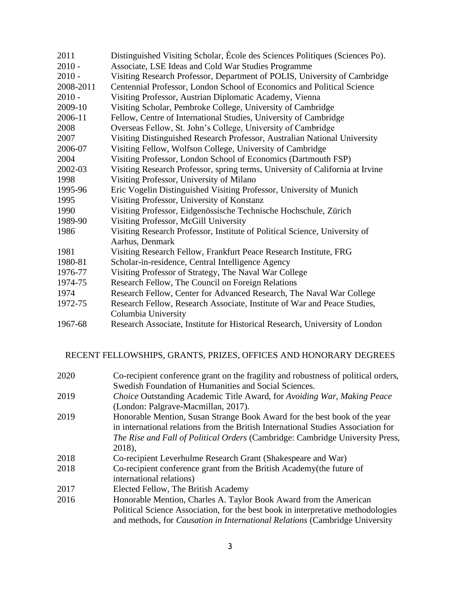| 2011      | Distinguished Visiting Scholar, Ecole des Sciences Politiques (Sciences Po).                  |
|-----------|-----------------------------------------------------------------------------------------------|
| $2010 -$  | Associate, LSE Ideas and Cold War Studies Programme                                           |
| $2010 -$  | Visiting Research Professor, Department of POLIS, University of Cambridge                     |
| 2008-2011 | Centennial Professor, London School of Economics and Political Science                        |
| $2010 -$  | Visiting Professor, Austrian Diplomatic Academy, Vienna                                       |
| 2009-10   | Visiting Scholar, Pembroke College, University of Cambridge                                   |
| 2006-11   | Fellow, Centre of International Studies, University of Cambridge                              |
| 2008      | Overseas Fellow, St. John's College, University of Cambridge                                  |
| 2007      | Visiting Distinguished Research Professor, Australian National University                     |
| 2006-07   | Visiting Fellow, Wolfson College, University of Cambridge                                     |
| 2004      | Visiting Professor, London School of Economics (Dartmouth FSP)                                |
| 2002-03   | Visiting Research Professor, spring terms, University of California at Irvine                 |
| 1998      | Visiting Professor, University of Milano                                                      |
| 1995-96   | Eric Vogelin Distinguished Visiting Professor, University of Munich                           |
| 1995      | Visiting Professor, University of Konstanz                                                    |
| 1990      | Visiting Professor, Eidgenössische Technische Hochschule, Zürich                              |
| 1989-90   | Visiting Professor, McGill University                                                         |
| 1986      | Visiting Research Professor, Institute of Political Science, University of<br>Aarhus, Denmark |
| 1981      | Visiting Research Fellow, Frankfurt Peace Research Institute, FRG                             |
| 1980-81   | Scholar-in-residence, Central Intelligence Agency                                             |
| 1976-77   | Visiting Professor of Strategy, The Naval War College                                         |
| 1974-75   | Research Fellow, The Council on Foreign Relations                                             |
| 1974      | Research Fellow, Center for Advanced Research, The Naval War College                          |
| 1972-75   | Research Fellow, Research Associate, Institute of War and Peace Studies,                      |
|           | Columbia University                                                                           |
| 1967-68   | Research Associate, Institute for Historical Research, University of London                   |

RECENT FELLOWSHIPS, GRANTS, PRIZES, OFFICES AND HONORARY DEGREES

| 2020 | Co-recipient conference grant on the fragility and robustness of political orders, |
|------|------------------------------------------------------------------------------------|
|      | Swedish Foundation of Humanities and Social Sciences.                              |
| 2019 | Choice Outstanding Academic Title Award, for Avoiding War, Making Peace            |
|      | (London: Palgrave-Macmillan, 2017).                                                |
| 2019 | Honorable Mention, Susan Strange Book Award for the best book of the year          |
|      | in international relations from the British International Studies Association for  |
|      | The Rise and Fall of Political Orders (Cambridge: Cambridge University Press,      |
|      | 2018),                                                                             |
| 2018 | Co-recipient Leverhulme Research Grant (Shakespeare and War)                       |
| 2018 | Co-recipient conference grant from the British Academy (the future of              |
|      | international relations)                                                           |
| 2017 | Elected Fellow, The British Academy                                                |
| 2016 | Honorable Mention, Charles A. Taylor Book Award from the American                  |
|      | Political Science Association, for the best book in interpretative methodologies   |
|      | and methods, for <i>Causation in International Relations</i> (Cambridge University |
|      |                                                                                    |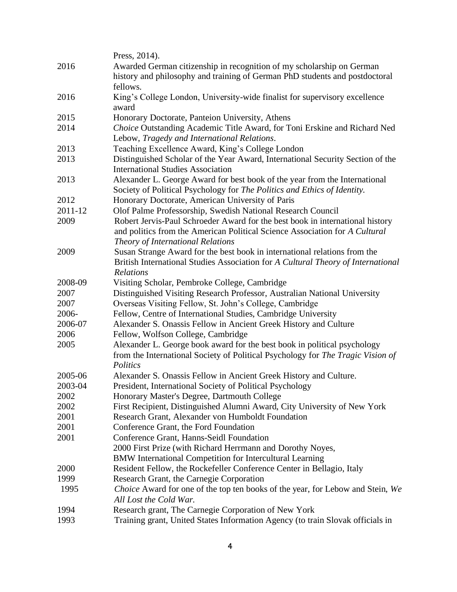|         | Press, 2014).                                                                    |
|---------|----------------------------------------------------------------------------------|
| 2016    | Awarded German citizenship in recognition of my scholarship on German            |
|         | history and philosophy and training of German PhD students and postdoctoral      |
|         | fellows.                                                                         |
| 2016    | King's College London, University-wide finalist for supervisory excellence       |
|         | award                                                                            |
| 2015    | Honorary Doctorate, Panteion University, Athens                                  |
| 2014    | Choice Outstanding Academic Title Award, for Toni Erskine and Richard Ned        |
|         | Lebow, Tragedy and International Relations.                                      |
| 2013    | Teaching Excellence Award, King's College London                                 |
| 2013    | Distinguished Scholar of the Year Award, International Security Section of the   |
|         | <b>International Studies Association</b>                                         |
| 2013    | Alexander L. George Award for best book of the year from the International       |
|         | Society of Political Psychology for The Politics and Ethics of Identity.         |
| 2012    | Honorary Doctorate, American University of Paris                                 |
| 2011-12 | Olof Palme Professorship, Swedish National Research Council                      |
| 2009    | Robert Jervis-Paul Schroeder Award for the best book in international history    |
|         | and politics from the American Political Science Association for A Cultural      |
|         | Theory of International Relations                                                |
| 2009    | Susan Strange Award for the best book in international relations from the        |
|         | British International Studies Association for A Cultural Theory of International |
|         | Relations                                                                        |
| 2008-09 | Visiting Scholar, Pembroke College, Cambridge                                    |
| 2007    | Distinguished Visiting Research Professor, Australian National University        |
| 2007    | Overseas Visiting Fellow, St. John's College, Cambridge                          |
| 2006-   | Fellow, Centre of International Studies, Cambridge University                    |
| 2006-07 | Alexander S. Onassis Fellow in Ancient Greek History and Culture                 |
| 2006    | Fellow, Wolfson College, Cambridge                                               |
| 2005    | Alexander L. George book award for the best book in political psychology         |
|         | from the International Society of Political Psychology for The Tragic Vision of  |
|         | Politics                                                                         |
| 2005-06 | Alexander S. Onassis Fellow in Ancient Greek History and Culture.                |
| 2003-04 | President, International Society of Political Psychology                         |
| 2002    | Honorary Master's Degree, Dartmouth College                                      |
| 2002    | First Recipient, Distinguished Alumni Award, City University of New York         |
| 2001    | Research Grant, Alexander von Humboldt Foundation                                |
| 2001    | Conference Grant, the Ford Foundation                                            |
| 2001    | Conference Grant, Hanns-Seidl Foundation                                         |
|         | 2000 First Prize (with Richard Herrmann and Dorothy Noyes,                       |
|         | <b>BMW</b> International Competition for Intercultural Learning                  |
| 2000    | Resident Fellow, the Rockefeller Conference Center in Bellagio, Italy            |
| 1999    | Research Grant, the Carnegie Corporation                                         |
| 1995    | Choice Award for one of the top ten books of the year, for Lebow and Stein, We   |
|         | All Lost the Cold War.                                                           |
| 1994    | Research grant, The Carnegie Corporation of New York                             |
| 1993    | Training grant, United States Information Agency (to train Slovak officials in   |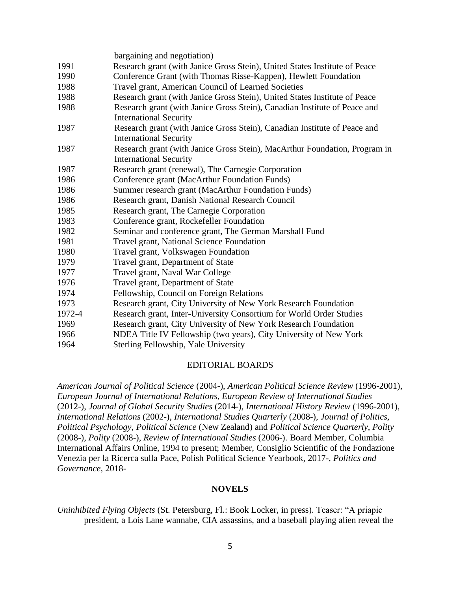|        | bargaining and negotiation)                                                                                 |
|--------|-------------------------------------------------------------------------------------------------------------|
| 1991   | Research grant (with Janice Gross Stein), United States Institute of Peace                                  |
| 1990   | Conference Grant (with Thomas Risse-Kappen), Hewlett Foundation                                             |
| 1988   | Travel grant, American Council of Learned Societies                                                         |
| 1988   | Research grant (with Janice Gross Stein), United States Institute of Peace                                  |
| 1988   | Research grant (with Janice Gross Stein), Canadian Institute of Peace and<br><b>International Security</b>  |
| 1987   | Research grant (with Janice Gross Stein), Canadian Institute of Peace and<br><b>International Security</b>  |
| 1987   | Research grant (with Janice Gross Stein), MacArthur Foundation, Program in<br><b>International Security</b> |
| 1987   | Research grant (renewal), The Carnegie Corporation                                                          |
| 1986   | Conference grant (MacArthur Foundation Funds)                                                               |
| 1986   | Summer research grant (MacArthur Foundation Funds)                                                          |
| 1986   | Research grant, Danish National Research Council                                                            |
| 1985   | Research grant, The Carnegie Corporation                                                                    |
| 1983   | Conference grant, Rockefeller Foundation                                                                    |
| 1982   | Seminar and conference grant, The German Marshall Fund                                                      |
| 1981   | Travel grant, National Science Foundation                                                                   |
| 1980   | Travel grant, Volkswagen Foundation                                                                         |
| 1979   | Travel grant, Department of State                                                                           |
| 1977   | Travel grant, Naval War College                                                                             |
| 1976   | Travel grant, Department of State                                                                           |
| 1974   | Fellowship, Council on Foreign Relations                                                                    |
| 1973   | Research grant, City University of New York Research Foundation                                             |
| 1972-4 | Research grant, Inter-University Consortium for World Order Studies                                         |
| 1969   | Research grant, City University of New York Research Foundation                                             |
| 1966   | NDEA Title IV Fellowship (two years), City University of New York                                           |
| 1964   | Sterling Fellowship, Yale University                                                                        |

#### EDITORIAL BOARDS

*American Journal of Political Science* (2004-), *American Political Science Review* (1996-2001), *European Journal of International Relations*, *European Review of International Studies* (2012-), *Journal of Global Security Studies* (2014-), *International History Review* (1996-2001), *International Relations* (2002-), *International Studies Quarterly* (2008-), *Journal of Politics, Political Psychology*, *Political Science* (New Zealand) and *Political Science Quarterly*, *Polity*  (2008-), *Polity* (2008-), *Review of International Studies* (2006-). Board Member, Columbia International Affairs Online, 1994 to present; Member, Consiglio Scientific of the Fondazione Venezia per la Ricerca sulla Pace, Polish Political Science Yearbook, 2017-, *Politics and Governance*, 2018-

### **NOVELS**

*Uninhibited Flying Objects* (St. Petersburg, Fl.: Book Locker, in press). Teaser: "A priapic president, a Lois Lane wannabe, CIA assassins, and a baseball playing alien reveal the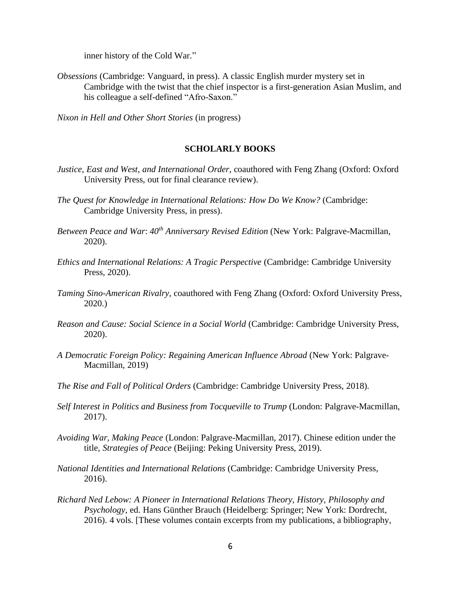inner history of the Cold War."

*Obsessions* (Cambridge: Vanguard, in press). A classic English murder mystery set in Cambridge with the twist that the chief inspector is a first-generation Asian Muslim, and his colleague a self-defined "Afro-Saxon."

*Nixon in Hell and Other Short Stories* (in progress)

### **SCHOLARLY BOOKS**

- *Justice, East and West*, *and International Order*, coauthored with Feng Zhang (Oxford: Oxford University Press, out for final clearance review).
- *The Quest for Knowledge in International Relations: How Do We Know?* (Cambridge: Cambridge University Press, in press).
- *Between Peace and War*: *40th Anniversary Revised Edition* (New York: Palgrave-Macmillan, 2020).
- *Ethics and International Relations: A Tragic Perspective* (Cambridge: Cambridge University Press, 2020).
- *Taming Sino-American Rivalry*, coauthored with Feng Zhang (Oxford: Oxford University Press, 2020.)
- *Reason and Cause: Social Science in a Social World* (Cambridge: Cambridge University Press, 2020).
- *A Democratic Foreign Policy: Regaining American Influence Abroad* (New York: Palgrave-Macmillan, 2019)
- *The Rise and Fall of Political Orders* (Cambridge: Cambridge University Press, 2018).
- *Self Interest in Politics and Business from Tocqueville to Trump (London: Palgrave-Macmillan,* 2017).
- *Avoiding War, Making Peace* (London: Palgrave-Macmillan, 2017). Chinese edition under the title, *Strategies of Peace* (Beijing: Peking University Press, 2019).
- *National Identities and International Relations* (Cambridge: Cambridge University Press, 2016).
- *Richard Ned Lebow: A Pioneer in International Relations Theory, History, Philosophy and Psychology*, ed. Hans Günther Brauch (Heidelberg: Springer; New York: Dordrecht, 2016). 4 vols. [These volumes contain excerpts from my publications, a bibliography,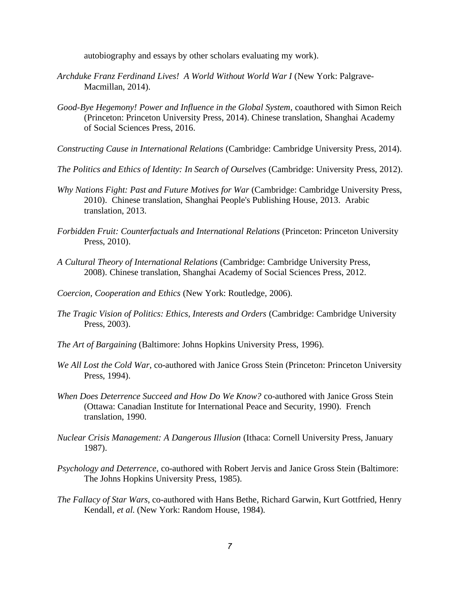autobiography and essays by other scholars evaluating my work).

- *Archduke Franz Ferdinand Lives! A World Without World War I* (New York: Palgrave-Macmillan, 2014).
- *Good-Bye Hegemony! Power and Influence in the Global System*, coauthored with Simon Reich (Princeton: Princeton University Press, 2014). Chinese translation, Shanghai Academy of Social Sciences Press, 2016.
- *Constructing Cause in International Relations* (Cambridge: Cambridge University Press, 2014).
- *The Politics and Ethics of Identity: In Search of Ourselves* (Cambridge: University Press, 2012).
- *Why Nations Fight: Past and Future Motives for War* (Cambridge: Cambridge University Press, 2010). Chinese translation, Shanghai People's Publishing House, 2013. Arabic translation, 2013.
- *Forbidden Fruit: Counterfactuals and International Relations* (Princeton: Princeton University Press, 2010).
- *A Cultural Theory of International Relations* (Cambridge: Cambridge University Press, 2008). Chinese translation, Shanghai Academy of Social Sciences Press, 2012.
- *Coercion, Cooperation and Ethics* (New York: Routledge, 2006).
- *The Tragic Vision of Politics: Ethics, Interests and Orders* (Cambridge: Cambridge University Press, 2003).
- *The Art of Bargaining* (Baltimore: Johns Hopkins University Press, 1996).
- *We All Lost the Cold War*, co-authored with Janice Gross Stein (Princeton: Princeton University Press, 1994).
- *When Does Deterrence Succeed and How Do We Know?* co-authored with Janice Gross Stein (Ottawa: Canadian Institute for International Peace and Security, 1990). French translation, 1990.
- *Nuclear Crisis Management: A Dangerous Illusion* (Ithaca: Cornell University Press, January 1987).
- *Psychology and Deterrence*, co-authored with Robert Jervis and Janice Gross Stein (Baltimore: The Johns Hopkins University Press, 1985).
- *The Fallacy of Star Wars*, co-authored with Hans Bethe, Richard Garwin, Kurt Gottfried, Henry Kendall, *et al*. (New York: Random House, 1984).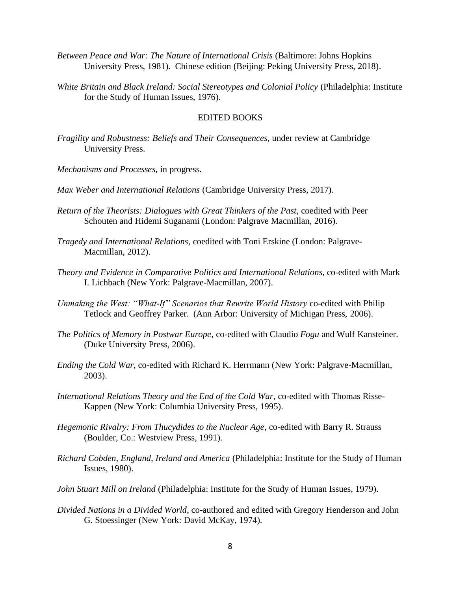- *Between Peace and War: The Nature of International Crisis* (Baltimore: Johns Hopkins University Press, 1981). Chinese edition (Beijing: Peking University Press, 2018).
- *White Britain and Black Ireland: Social Stereotypes and Colonial Policy* (Philadelphia: Institute for the Study of Human Issues, 1976).

#### EDITED BOOKS

- *Fragility and Robustness: Beliefs and Their Consequences*, under review at Cambridge University Press.
- *Mechanisms and Processes*, in progress.
- *Max Weber and International Relations* (Cambridge University Press, 2017).
- *Return of the Theorists: Dialogues with Great Thinkers of the Past*, coedited with Peer Schouten and Hidemi Suganami (London: Palgrave Macmillan, 2016).
- *Tragedy and International Relations*, coedited with Toni Erskine (London: Palgrave-Macmillan, 2012).
- *Theory and Evidence in Comparative Politics and International Relations*, co-edited with Mark I. Lichbach (New York: Palgrave-Macmillan, 2007).
- *Unmaking the West: "What-If" Scenarios that Rewrite World History* co-edited with Philip Tetlock and Geoffrey Parker. (Ann Arbor: University of Michigan Press, 2006).
- *The Politics of Memory in Postwar Europe*, co-edited with Claudio *Fogu* and Wulf Kansteiner. (Duke University Press, 2006).
- *Ending the Cold War,* co-edited with Richard K. Herrmann (New York: Palgrave-Macmillan, 2003).
- *International Relations Theory and the End of the Cold War*, co-edited with Thomas Risse-Kappen (New York: Columbia University Press, 1995).
- *Hegemonic Rivalry: From Thucydides to the Nuclear Age*, co-edited with Barry R. Strauss (Boulder, Co.: Westview Press, 1991).
- *Richard Cobden, England, Ireland and America* (Philadelphia: Institute for the Study of Human Issues, 1980).
- *John Stuart Mill on Ireland* (Philadelphia: Institute for the Study of Human Issues, 1979).
- *Divided Nations in a Divided World*, co-authored and edited with Gregory Henderson and John G. Stoessinger (New York: David McKay, 1974).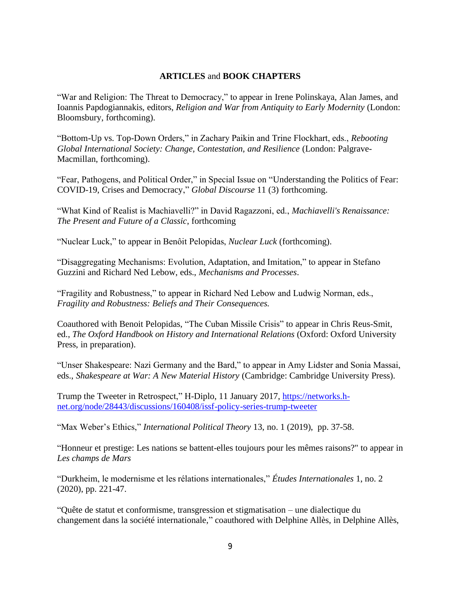## **ARTICLES** and **BOOK CHAPTERS**

"War and Religion: The Threat to Democracy," to appear in Irene Polinskaya, Alan James, and Ioannis Papdogiannakis, editors, *Religion and War from Antiquity to Early Modernity* (London: Bloomsbury, forthcoming).

"Bottom-Up vs. Top-Down Orders," in Zachary Paikin and Trine Flockhart, eds., *Rebooting Global International Society: Change, Contestation, and Resilience* (London: Palgrave-Macmillan, forthcoming).

"Fear, Pathogens, and Political Order," in Special Issue on "Understanding the Politics of Fear: COVID-19, Crises and Democracy," *Global Discourse* 11 (3) forthcoming.

"What Kind of Realist is Machiavelli?" in David Ragazzoni, ed., *Machiavelli's Renaissance: The Present and Future of a Classic*, forthcoming

"Nuclear Luck," to appear in Benôit Pelopidas, *Nuclear Luck* (forthcoming).

"Disaggregating Mechanisms: Evolution, Adaptation, and Imitation," to appear in Stefano Guzzini and Richard Ned Lebow, eds., *Mechanisms and Processes*.

"Fragility and Robustness," to appear in Richard Ned Lebow and Ludwig Norman, eds., *Fragility and Robustness: Beliefs and Their Consequences.*

Coauthored with Benoit Pelopidas, "The Cuban Missile Crisis" to appear in Chris Reus-Smit, ed., *The Oxford Handbook on History and International Relations* (Oxford: Oxford University Press, in preparation).

"Unser Shakespeare: Nazi Germany and the Bard," to appear in Amy Lidster and Sonia Massai, eds., *Shakespeare at War: A New Material History* (Cambridge: Cambridge University Press).

Trump the Tweeter in Retrospect," H-Diplo, 11 January 2017, [https://networks.h](https://networks.h-net.org/node/28443/discussions/160408/issf-policy-series-trump-tweeter)[net.org/node/28443/discussions/160408/issf-policy-series-trump-tweeter](https://networks.h-net.org/node/28443/discussions/160408/issf-policy-series-trump-tweeter)

"Max Weber's Ethics," *International Political Theory* 13, no. 1 (2019), pp. 37-58.

"Honneur et prestige: Les nations se battent-elles toujours pour les mêmes raisons?" to appear in *Les champs de Mars*

"Durkheim, le modernisme et les rélations internationales," *Études Internationales* 1, no. 2 (2020), pp. 221-47.

"Quête de statut et conformisme, transgression et stigmatisation – une dialectique du changement dans la société internationale," coauthored with Delphine Allès, in Delphine Allès,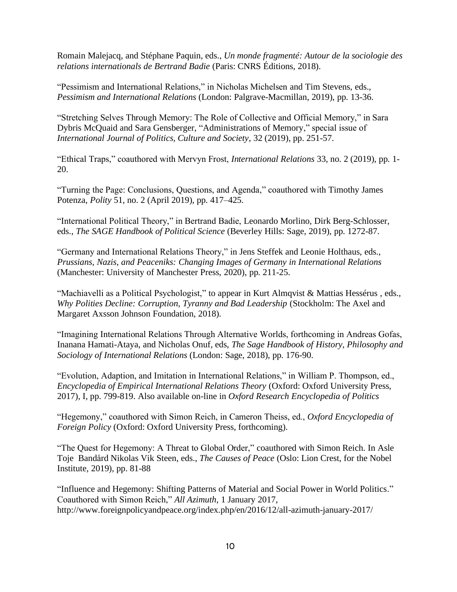Romain Malejacq, and Stéphane Paquin, eds., *Un monde fragmenté: Autour de la sociologie des relations internationals de Bertrand Badie* (Paris: CNRS Éditions, 2018).

"Pessimism and International Relations," in Nicholas Michelsen and Tim Stevens, eds., *Pessimism and International Relations* (London: Palgrave-Macmillan, 2019), pp. 13-36.

"Stretching Selves Through Memory: The Role of Collective and Official Memory," in Sara Dybris McQuaid and Sara Gensberger, "Administrations of Memory," special issue of *International Journal of Politics, Culture and Society*, 32 (2019), pp. 251-57.

"Ethical Traps," coauthored with Mervyn Frost, *International Relations* 33, no. 2 (2019), pp. 1- 20.

"Turning the Page: Conclusions, Questions, and Agenda," coauthored with Timothy James Potenza, *Polity* 51, no. 2 (April 2019), pp. 417–425.

"International Political Theory," in Bertrand Badie, Leonardo Morlino, Dirk Berg-Schlosser, eds., *The SAGE Handbook of Political Science* (Beverley Hills: Sage, 2019), pp. 1272-87.

"Germany and International Relations Theory," in Jens Steffek and Leonie Holthaus, eds., *Prussians, Nazis, and Peaceniks: Changing Images of Germany in International Relations* (Manchester: University of Manchester Press, 2020), pp. 211-25.

"Machiavelli as a Political Psychologist," to appear in Kurt Almqvist & Mattias Hessérus , eds., *Why Polities Decline: Corruption, Tyranny and Bad Leadership* (Stockholm: The Axel and Margaret Axsson Johnson Foundation, 2018).

"Imagining International Relations Through Alternative Worlds, forthcoming in Andreas Gofas, Inanana Hamati-Ataya, and Nicholas Onuf, eds, *The Sage Handbook of History, Philosophy and Sociology of International Relations* (London: Sage, 2018), pp. 176-90.

"Evolution, Adaption, and Imitation in International Relations," in William P. Thompson, ed., *Encyclopedia of Empirical International Relations Theory* (Oxford: Oxford University Press, 2017), I, pp. 799-819. Also available on-line in *Oxford Research Encyclopedia of Politics*

"Hegemony," coauthored with Simon Reich, in Cameron Theiss, ed., *Oxford Encyclopedia of Foreign Policy* (Oxford: Oxford University Press, forthcoming).

"The Quest for Hegemony: A Threat to Global Order," coauthored with Simon Reich. In Asle Toje Bandård Nikolas Vik Steen, eds., *The Causes of Peace* (Oslo: Lion Crest, for the Nobel Institute, 2019), pp. 81-88

"Influence and Hegemony: Shifting Patterns of Material and Social Power in World Politics." Coauthored with Simon Reich," *All Azimuth*, 1 January 2017, http://www.foreignpolicyandpeace.org/index.php/en/2016/12/all-azimuth-january-2017/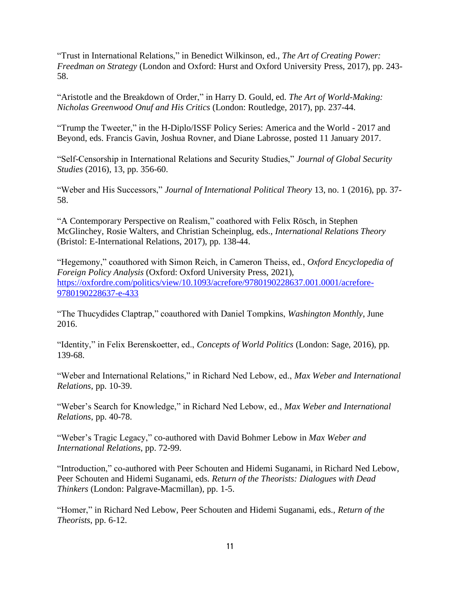"Trust in International Relations," in Benedict Wilkinson, ed., *The Art of Creating Power: Freedman on Strategy* (London and Oxford: Hurst and Oxford University Press, 2017), pp. 243- 58.

"Aristotle and the Breakdown of Order," in Harry D. Gould, ed. *The Art of World-Making: Nicholas Greenwood Onuf and His Critics* (London: Routledge, 2017), pp. 237-44.

"Trump the Tweeter," in the H-Diplo/ISSF Policy Series: America and the World - 2017 and Beyond, eds. Francis Gavin, Joshua Rovner, and Diane Labrosse, posted 11 January 2017.

"Self-Censorship in International Relations and Security Studies," *Journal of Global Security Studies* (2016), 13, pp. 356-60.

"Weber and His Successors," *Journal of International Political Theory* 13, no. 1 (2016), pp. 37- 58.

"A Contemporary Perspective on Realism," coathored with Felix Rösch, in Stephen McGlinchey, Rosie Walters, and Christian Scheinplug, eds., *International Relations Theory*  (Bristol: E-International Relations, 2017), pp. 138-44.

"Hegemony," coauthored with Simon Reich, in Cameron Theiss, ed., *Oxford Encyclopedia of Foreign Policy Analysis* (Oxford: Oxford University Press, 2021), [https://oxfordre.com/politics/view/10.1093/acrefore/9780190228637.001.0001/acrefore-](https://oxfordre.com/politics/view/10.1093/acrefore/9780190228637.001.0001/acrefore-9780190228637-e-433)[9780190228637-e-433](https://oxfordre.com/politics/view/10.1093/acrefore/9780190228637.001.0001/acrefore-9780190228637-e-433)

"The Thucydides Claptrap," coauthored with Daniel Tompkins, *Washington Monthly*, June 2016.

"Identity," in Felix Berenskoetter, ed., *Concepts of World Politics* (London: Sage, 2016), pp. 139-68.

"Weber and International Relations," in Richard Ned Lebow, ed., *Max Weber and International Relations*, pp. 10-39.

"Weber's Search for Knowledge," in Richard Ned Lebow, ed., *Max Weber and International Relations*, pp. 40-78.

"Weber's Tragic Legacy," co-authored with David Bohmer Lebow in *Max Weber and International Relations*, pp. 72-99.

"Introduction," co-authored with Peer Schouten and Hidemi Suganami, in Richard Ned Lebow, Peer Schouten and Hidemi Suganami, eds. *Return of the Theorists: Dialogues with Dead Thinkers* (London: Palgrave-Macmillan), pp. 1-5.

"Homer," in Richard Ned Lebow, Peer Schouten and Hidemi Suganami, eds., *Return of the Theorists*, pp. 6-12.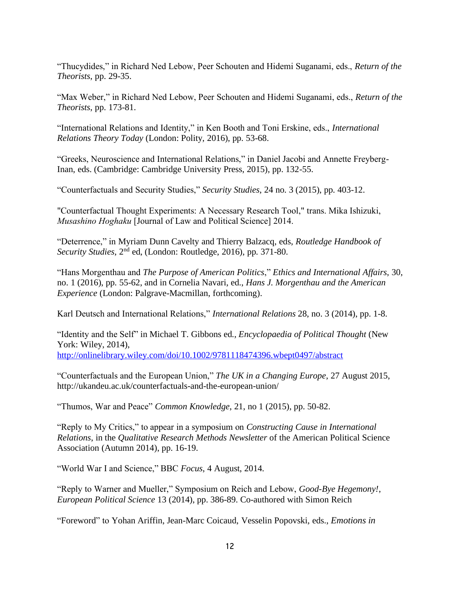"Thucydides," in Richard Ned Lebow, Peer Schouten and Hidemi Suganami, eds., *Return of the Theorists*, pp. 29-35.

"Max Weber," in Richard Ned Lebow, Peer Schouten and Hidemi Suganami, eds., *Return of the Theorists*, pp. 173-81.

"International Relations and Identity," in Ken Booth and Toni Erskine, eds., *International Relations Theory Today* (London: Polity, 2016), pp. 53-68.

"Greeks, Neuroscience and International Relations," in Daniel Jacobi and Annette Freyberg-Inan, eds. (Cambridge: Cambridge University Press, 2015), pp. 132-55.

"Counterfactuals and Security Studies," *Security Studies*, 24 no. 3 (2015), pp. 403-12.

"Counterfactual Thought Experiments: A Necessary Research Tool," trans. Mika Ishizuki, *Musashino Hoghaku* [Journal of Law and Political Science] 2014.

"Deterrence," in Myriam Dunn Cavelty and Thierry Balzacq, eds, *Routledge Handbook of Security Studies*, 2nd ed, (London: Routledge, 2016), pp. 371-80.

"Hans Morgenthau and *The Purpose of American Politics*," *Ethics and International Affairs*, 30, no. 1 (2016), pp. 55-62, and in Cornelia Navari, ed., *Hans J. Morgenthau and the American Experience* (London: Palgrave-Macmillan, forthcoming).

Karl Deutsch and International Relations," *International Relations* 28, no. 3 (2014), pp. 1-8.

"Identity and the Self" in Michael T. Gibbons ed., *Encyclopaedia of Political Thought* (New York: Wiley, 2014),

<http://onlinelibrary.wiley.com/doi/10.1002/9781118474396.wbept0497/abstract>

"Counterfactuals and the European Union," *The UK in a Changing Europe*, 27 August 2015, http://ukandeu.ac.uk/counterfactuals-and-the-european-union/

"Thumos, War and Peace" *Common Knowledge*, 21, no 1 (2015), pp. 50-82.

"Reply to My Critics," to appear in a symposium on *Constructing Cause in International Relations*, in the *Qualitative Research Methods Newsletter* of the American Political Science Association (Autumn 2014), pp. 16-19.

"World War I and Science," BBC *Focus*, 4 August, 2014.

"Reply to Warner and Mueller," Symposium on Reich and Lebow, *Good-Bye Hegemony!*, *European Political Science* 13 (2014), pp. 386-89. Co-authored with Simon Reich

"Foreword" to Yohan Ariffin, Jean-Marc Coicaud, Vesselin Popovski, eds., *Emotions in*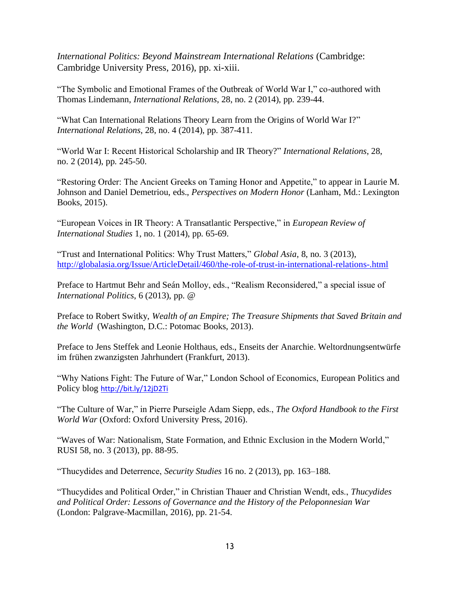*International Politics: Beyond Mainstream International Relations* (Cambridge: Cambridge University Press, 2016), pp. xi-xiii.

"The Symbolic and Emotional Frames of the Outbreak of World War I," co-authored with Thomas Lindemann, *International Relations*, 28, no. 2 (2014), pp. 239-44.

"What Can International Relations Theory Learn from the Origins of World War I?" *International Relations*, 28, no. 4 (2014), pp. 387-411.

"World War I: Recent Historical Scholarship and IR Theory?" *International Relations*, 28, no. 2 (2014), pp. 245-50.

"Restoring Order: The Ancient Greeks on Taming Honor and Appetite," to appear in Laurie M. Johnson and Daniel Demetriou, eds., *Perspectives on Modern Honor* (Lanham, Md.: Lexington Books, 2015).

"European Voices in IR Theory: A Transatlantic Perspective," in *European Review of International Studies* 1, no. 1 (2014), pp. 65-69.

"Trust and International Politics: Why Trust Matters," *Global Asia*, 8, no. 3 (2013), <http://globalasia.org/Issue/ArticleDetail/460/the-role-of-trust-in-international-relations-.html>

Preface to Hartmut Behr and Seán Molloy, eds., "Realism Reconsidered," a special issue of *International Politics*, 6 (2013), pp. @

Preface to Robert Switky, *Wealth of an Empire; The Treasure Shipments that Saved Britain and the World* (Washington, D.C.: Potomac Books, 2013).

Preface to Jens Steffek and Leonie Holthaus, eds., Enseits der Anarchie. Weltordnungsentwürfe im frühen zwanzigsten Jahrhundert (Frankfurt, 2013).

"Why Nations Fight: The Future of War," London School of Economics, European Politics and Policy blog <http://bit.ly/12jD2Ti>

"The Culture of War," in Pierre Purseigle Adam Siepp, eds., *The Oxford Handbook to the First World War* (Oxford: Oxford University Press, 2016).

"Waves of War: Nationalism, State Formation, and Ethnic Exclusion in the Modern World," RUSI 58, no. 3 (2013), pp. 88-95.

"Thucydides and Deterrence, *Security Studies* 16 no. 2 (2013), pp. 163–188.

"Thucydides and Political Order," in Christian Thauer and Christian Wendt, eds., *Thucydides and Political Order: Lessons of Governance and the History of the Peloponnesian War* (London: Palgrave-Macmillan, 2016), pp. 21-54.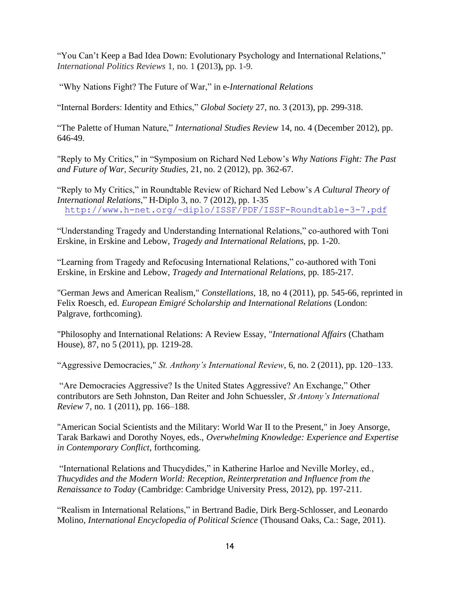"You Can't Keep a Bad Idea Down: Evolutionary Psychology and International Relations," *International Politics Reviews* 1, no. 1 **(**2013**),** pp. 1-9.

"Why Nations Fight? The Future of War," in e*-International Relations* 

"Internal Borders: Identity and Ethics," *Global Society* 27, no. 3 (2013), pp. 299-318.

"The Palette of Human Nature," *International Studies Review* 14, no. 4 (December 2012), pp. 646-49.

"Reply to My Critics," in "Symposium on Richard Ned Lebow's *Why Nations Fight: The Past and Future of War*, *Security Studies*, 21, no. 2 (2012), pp. 362-67.

"Reply to My Critics," in Roundtable Review of Richard Ned Lebow's *A Cultural Theory of International Relations*," H-Diplo 3, no. 7 (2012), pp. 1-35 <http://www.h-net.org/~diplo/ISSF/PDF/ISSF-Roundtable-3-7.pdf>

"Understanding Tragedy and Understanding International Relations," co-authored with Toni Erskine, in Erskine and Lebow, *Tragedy and International Relations*, pp. 1-20.

"Learning from Tragedy and Refocusing International Relations," co-authored with Toni Erskine, in Erskine and Lebow, *Tragedy and International Relations*, pp. 185-217.

"German Jews and American Realism," *Constellations*, 18, no 4 (2011), pp. 545-66, reprinted in Felix Roesch, ed. *European Emigré Scholarship and International Relations* (London: Palgrave, forthcoming).

"Philosophy and International Relations: A Review Essay, "*International Affairs* (Chatham House), 87, no 5 (2011), pp. 1219-28.

"Aggressive Democracies," *St. Anthony's International Review*, 6, no. 2 (2011), pp. 120–133.

"Are Democracies Aggressive? Is the United States Aggressive? An Exchange," Other contributors are Seth Johnston, Dan Reiter and John Schuessler, *St Antony's International Review* 7, no. 1 (2011), pp. 166–188.

"American Social Scientists and the Military: World War II to the Present," in Joey Ansorge, Tarak Barkawi and Dorothy Noyes, eds., *Overwhelming Knowledge: Experience and Expertise in Contemporary Conflict*, forthcoming.

"International Relations and Thucydides," in Katherine Harloe and Neville Morley, ed., *Thucydides and the Modern World: Reception, Reinterpretation and Influence from the Renaissance to Today* (Cambridge: Cambridge University Press, 2012), pp. 197-211.

"Realism in International Relations," in Bertrand Badie, Dirk Berg-Schlosser, and Leonardo Molino, *International Encyclopedia of Political Science* (Thousand Oaks, Ca.: Sage, 2011).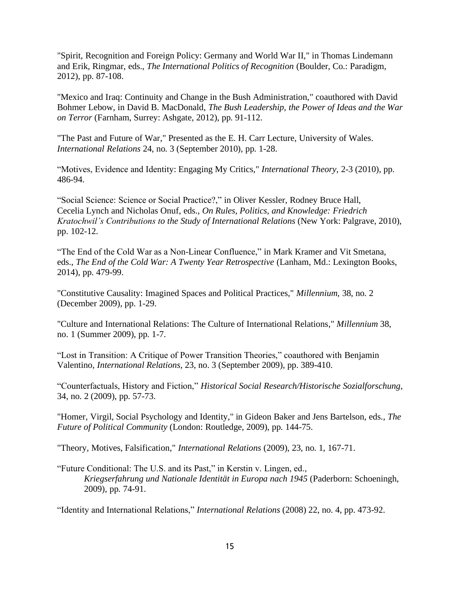"Spirit, Recognition and Foreign Policy: Germany and World War II," in Thomas Lindemann and Erik, Ringmar, eds., *The International Politics of Recognition* (Boulder, Co.: Paradigm, 2012), pp. 87-108.

"Mexico and Iraq: Continuity and Change in the Bush Administration," coauthored with David Bohmer Lebow, in David B. MacDonald, *The Bush Leadership, the Power of Ideas and the War on Terror* (Farnham, Surrey: Ashgate, 2012), pp. 91-112.

"The Past and Future of War," Presented as the E. H. Carr Lecture, University of Wales. *International Relations* 24, no. 3 (September 2010), pp. 1-28.

"Motives, Evidence and Identity: Engaging My Critics," *International Theory*, 2-3 (2010), pp. 486-94.

"Social Science: Science or Social Practice?," in Oliver Kessler, Rodney Bruce Hall, Cecelia Lynch and Nicholas Onuf, eds., *On Rules, Politics, and Knowledge: Friedrich Kratochwil's Contributions to the Study of International Relations* (New York: Palgrave, 2010), pp. 102-12.

"The End of the Cold War as a Non-Linear Confluence," in Mark Kramer and Vit Smetana, eds., *The End of the Cold War: A Twenty Year Retrospective* (Lanham, Md.: Lexington Books, 2014), pp. 479-99.

"Constitutive Causality: Imagined Spaces and Political Practices," *Millennium*, 38, no. 2 (December 2009), pp. 1-29.

"Culture and International Relations: The Culture of International Relations," *Millennium* 38, no. 1 (Summer 2009), pp. 1-7.

"Lost in Transition: A Critique of Power Transition Theories," coauthored with Benjamin Valentino, *International Relations*, 23, no. 3 (September 2009), pp. 389-410.

"Counterfactuals, History and Fiction," *Historical Social Research/Historische Sozialforschung*, 34, no. 2 (2009), pp. 57-73.

"Homer, Virgil, Social Psychology and Identity," in Gideon Baker and Jens Bartelson, eds., *The Future of Political Community* (London: Routledge, 2009), pp. 144-75.

"Theory, Motives, Falsification," *International Relations* (2009), 23, no. 1, 167-71.

"Future Conditional: The U.S. and its Past," in Kerstin v. Lingen, ed., *Kriegserfahrung und Nationale Identität in Europa nach 1945* (Paderborn: Schoeningh, 2009), pp. 74-91.

"Identity and International Relations," *International Relations* (2008) 22, no. 4, pp. 473-92.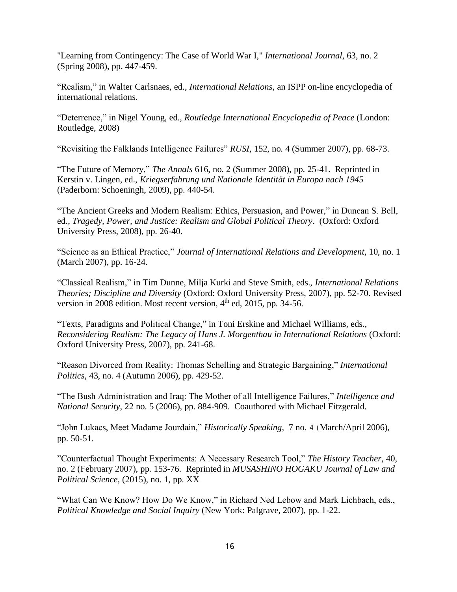"Learning from Contingency: The Case of World War I," *International Journal*, 63, no. 2 (Spring 2008), pp. 447-459.

"Realism," in Walter Carlsnaes, ed., *International Relations*, an ISPP on-line encyclopedia of international relations.

"Deterrence," in Nigel Young, ed., *Routledge International Encyclopedia of Peace* (London: Routledge, 2008)

"Revisiting the Falklands Intelligence Failures" *RUSI*, 152, no. 4 (Summer 2007), pp. 68-73.

"The Future of Memory," *The Annals* 616, no. 2 (Summer 2008), pp. 25-41. Reprinted in Kerstin v. Lingen, ed., *Kriegserfahrung und Nationale Identität in Europa nach 1945* (Paderborn: Schoeningh, 2009), pp. 440-54.

"The Ancient Greeks and Modern Realism: Ethics, Persuasion, and Power," in Duncan S. Bell, ed., *Tragedy, Power, and Justice: Realism and Global Political Theory*. (Oxford: Oxford University Press, 2008), pp. 26-40.

"Science as an Ethical Practice," *Journal of International Relations and Development*, 10, no. 1 (March 2007), pp. 16-24.

"Classical Realism," in Tim Dunne, Milja Kurki and Steve Smith, eds., *International Relations Theories; Discipline and Diversity* (Oxford: Oxford University Press, 2007), pp. 52-70. Revised version in 2008 edition. Most recent version, 4<sup>th</sup> ed, 2015, pp. 34-56.

"Texts, Paradigms and Political Change," in Toni Erskine and Michael Williams, eds., *Reconsidering Realism: The Legacy of Hans J. Morgenthau in International Relations* (Oxford: Oxford University Press, 2007), pp. 241-68.

"Reason Divorced from Reality: Thomas Schelling and Strategic Bargaining," *International Politics*, 43, no. 4 (Autumn 2006), pp. 429-52.

"The Bush Administration and Iraq: The Mother of all Intelligence Failures," *Intelligence and National Security*, 22 no. 5 (2006), pp. 884-909. Coauthored with Michael Fitzgerald.

"John Lukacs, Meet Madame Jourdain," *Historically Speaking*, 7 no. 4(March/April 2006), pp. 50-51.

"Counterfactual Thought Experiments: A Necessary Research Tool," *The History Teacher*, 40, no. 2 (February 2007), pp. 153-76. Reprinted in *MUSASHINO HOGAKU Journal of Law and Political Science,* (2015), no. 1, pp. XX

"What Can We Know? How Do We Know," in Richard Ned Lebow and Mark Lichbach, eds., *Political Knowledge and Social Inquiry* (New York: Palgrave, 2007), pp. 1-22.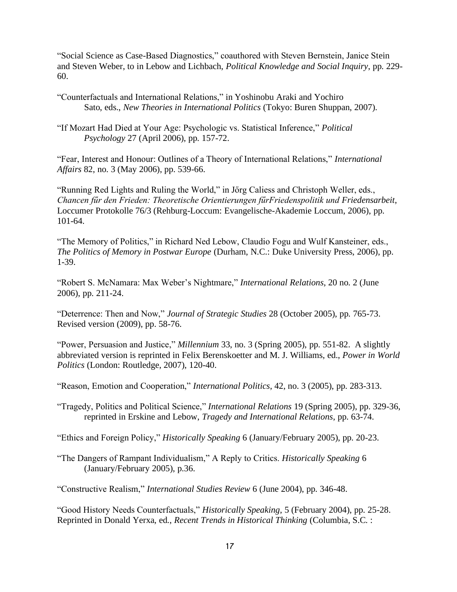"Social Science as Case-Based Diagnostics," coauthored with Steven Bernstein, Janice Stein and Steven Weber, to in Lebow and Lichbach, *Political Knowledge and Social Inquiry*, pp. 229- 60.

"Counterfactuals and International Relations," in Yoshinobu Araki and Yochiro Sato, eds., *New Theories in International Politics* (Tokyo: Buren Shuppan, 2007).

"If Mozart Had Died at Your Age: Psychologic vs. Statistical Inference," *Political Psychology* 27 (April 2006), pp. 157-72.

"Fear, Interest and Honour: Outlines of a Theory of International Relations," *International Affairs* 82, no. 3 (May 2006), pp. 539-66.

"Running Red Lights and Ruling the World," in Jőrg Caliess and Christoph Weller, eds., *Chancen fűr den Frieden: Theoretische Orientierungen fűrFriedenspolitik und Friedensarbeit*, Loccumer Protokolle 76/3 (Rehburg-Loccum: Evangelische-Akademie Loccum, 2006), pp. 101-64.

"The Memory of Politics," in Richard Ned Lebow, Claudio Fogu and Wulf Kansteiner, eds., *The Politics of Memory in Postwar Europe* (Durham, N.C.: Duke University Press, 2006), pp. 1-39.

"Robert S. McNamara: Max Weber's Nightmare," *International Relations*, 20 no. 2 (June 2006), pp. 211-24.

"Deterrence: Then and Now," *Journal of Strategic Studies* 28 (October 2005), pp. 765-73. Revised version (2009), pp. 58-76.

"Power, Persuasion and Justice," *Millennium* 33, no. 3 (Spring 2005), pp. 551-82. A slightly abbreviated version is reprinted in Felix Berenskoetter and M. J. Williams, ed., *Power in World Politics* (London: Routledge, 2007), 120-40.

"Reason, Emotion and Cooperation," *International Politics*, 42, no. 3 (2005), pp. 283-313.

"Tragedy, Politics and Political Science," *International Relations* 19 (Spring 2005), pp. 329-36, reprinted in Erskine and Lebow, *Tragedy and International Relations*, pp. 63-74.

"Ethics and Foreign Policy," *Historically Speaking* 6 (January/February 2005), pp. 20-23.

"The Dangers of Rampant Individualism," A Reply to Critics. *Historically Speaking* 6 (January/February 2005), p.36.

"Constructive Realism," *International Studies Review* 6 (June 2004), pp. 346-48.

"Good History Needs Counterfactuals," *Historically Speaking*, 5 (February 2004), pp. 25-28. Reprinted in Donald Yerxa, ed., *Recent Trends in Historical Thinking* (Columbia, S.C. :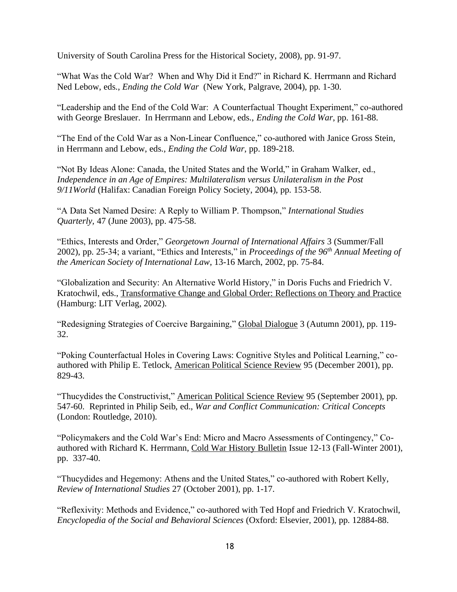University of South Carolina Press for the Historical Society, 2008), pp. 91-97.

"What Was the Cold War? When and Why Did it End?" in Richard K. Herrmann and Richard Ned Lebow, eds., *Ending the Cold War* (New York, Palgrave, 2004), pp. 1-30.

"Leadership and the End of the Cold War: A Counterfactual Thought Experiment," co-authored with George Breslauer. In Herrmann and Lebow, eds., *Ending the Cold War*, pp. 161-88.

"The End of the Cold War as a Non-Linear Confluence," co-authored with Janice Gross Stein, in Herrmann and Lebow, eds., *Ending the Cold War*, pp. 189-218.

"Not By Ideas Alone: Canada, the United States and the World," in Graham Walker, ed., *Independence in an Age of Empires: Multilateralism versus Unilateralism in the Post 9/11World* (Halifax: Canadian Foreign Policy Society, 2004), pp. 153-58.

"A Data Set Named Desire: A Reply to William P. Thompson," *International Studies Quarterly,* 47 (June 2003), pp. 475-58.

"Ethics, Interests and Order," *Georgetown Journal of International Affairs* 3 (Summer/Fall 2002), pp. 25-34; a variant, "Ethics and Interests," in *Proceedings of the 96th Annual Meeting of the American Society of International Law*, 13-16 March, 2002, pp. 75-84.

"Globalization and Security: An Alternative World History," in Doris Fuchs and Friedrich V. Kratochwil, eds., Transformative Change and Global Order: Reflections on Theory and Practice (Hamburg: LIT Verlag, 2002).

"Redesigning Strategies of Coercive Bargaining," Global Dialogue 3 (Autumn 2001), pp. 119- 32.

"Poking Counterfactual Holes in Covering Laws: Cognitive Styles and Political Learning," coauthored with Philip E. Tetlock, American Political Science Review 95 (December 2001), pp. 829-43.

"Thucydides the Constructivist," American Political Science Review 95 (September 2001), pp. 547-60. Reprinted in Philip Seib, ed., *War and Conflict Communication: Critical Concepts* (London: Routledge, 2010).

"Policymakers and the Cold War's End: Micro and Macro Assessments of Contingency," Coauthored with Richard K. Herrmann, Cold War History Bulletin Issue 12-13 (Fall-Winter 2001), pp. 337-40.

"Thucydides and Hegemony: Athens and the United States," co-authored with Robert Kelly, *Review of International Studies* 27 (October 2001), pp. 1-17.

"Reflexivity: Methods and Evidence," co-authored with Ted Hopf and Friedrich V. Kratochwil, *Encyclopedia of the Social and Behavioral Sciences* (Oxford: Elsevier, 2001), pp. 12884-88.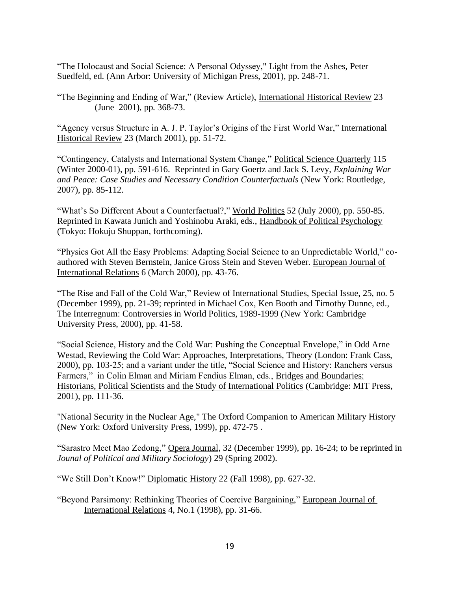"The Holocaust and Social Science: A Personal Odyssey," Light from the Ashes, Peter Suedfeld, ed. (Ann Arbor: University of Michigan Press, 2001), pp. 248-71.

"The Beginning and Ending of War," (Review Article), International Historical Review 23 (June 2001), pp. 368-73.

"Agency versus Structure in A. J. P. Taylor's Origins of the First World War," International Historical Review 23 (March 2001), pp. 51-72.

"Contingency, Catalysts and International System Change," Political Science Quarterly 115 (Winter 2000-01), pp. 591-616. Reprinted in Gary Goertz and Jack S. Levy, *Explaining War and Peace: Case Studies and Necessary Condition Counterfactuals* (New York: Routledge, 2007), pp. 85-112.

"What's So Different About a Counterfactual?," World Politics 52 (July 2000), pp. 550-85. Reprinted in Kawata Junich and Yoshinobu Araki, eds., Handbook of Political Psychology (Tokyo: Hokuju Shuppan, forthcoming).

"Physics Got All the Easy Problems: Adapting Social Science to an Unpredictable World," coauthored with Steven Bernstein, Janice Gross Stein and Steven Weber. European Journal of International Relations 6 (March 2000), pp. 43-76.

"The Rise and Fall of the Cold War," Review of International Studies, Special Issue, 25, no. 5 (December 1999), pp. 21-39; reprinted in Michael Cox, Ken Booth and Timothy Dunne, ed., The Interregnum: Controversies in World Politics, 1989-1999 (New York: Cambridge University Press, 2000), pp. 41-58.

"Social Science, History and the Cold War: Pushing the Conceptual Envelope," in Odd Arne Westad, Reviewing the Cold War: Approaches, Interpretations, Theory (London: Frank Cass, 2000), pp. 103-25; and a variant under the title, "Social Science and History: Ranchers versus Farmers," in Colin Elman and Miriam Fendius Elman, eds., Bridges and Boundaries: Historians, Political Scientists and the Study of International Politics (Cambridge: MIT Press, 2001), pp. 111-36.

"National Security in the Nuclear Age," The Oxford Companion to American Military History (New York: Oxford University Press, 1999), pp. 472-75 .

"Sarastro Meet Mao Zedong," Opera Journal, 32 (December 1999), pp. 16-24; to be reprinted in *Jounal of Political and Military Sociology*) 29 (Spring 2002).

"We Still Don't Know!" Diplomatic History 22 (Fall 1998), pp. 627-32.

"Beyond Parsimony: Rethinking Theories of Coercive Bargaining," European Journal of International Relations 4, No.1 (1998), pp. 31-66.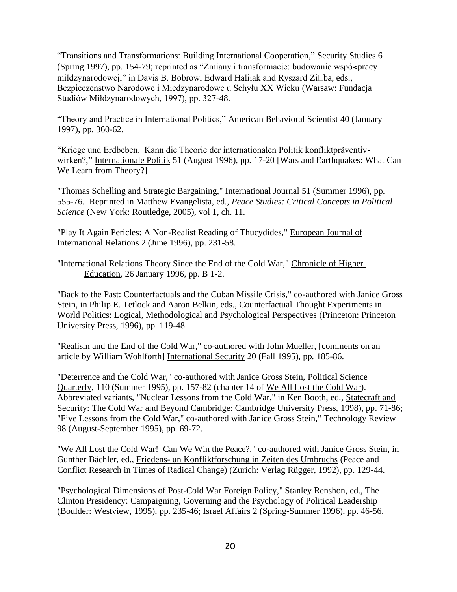"Transitions and Transformations: Building International Cooperation," Security Studies 6 (Spring 1997), pp. 154-79; reprinted as "Zmiany i transformacje: budowanie wspó $\approx$ pracy miłdzynarodowej," in Davis B. Bobrow, Edward Haliłak and Ryszard Zi□ba, eds., Bezpieczenstwo Narodowe i Miedzynarodowe u Schyłu XX Wieku (Warsaw: Fundacja Studiów Miłdzynarodowych, 1997), pp. 327-48.

"Theory and Practice in International Politics," American Behavioral Scientist 40 (January 1997), pp. 360-62.

"Kriege und Erdbeben. Kann die Theorie der internationalen Politik konfliktpräventivwirken?," Internationale Politik 51 (August 1996), pp. 17-20 [Wars and Earthquakes: What Can We Learn from Theory?]

"Thomas Schelling and Strategic Bargaining," International Journal 51 (Summer 1996), pp. 555-76. Reprinted in Matthew Evangelista, ed., *Peace Studies: Critical Concepts in Political Science* (New York: Routledge, 2005), vol 1, ch. 11.

"Play It Again Pericles: A Non-Realist Reading of Thucydides," European Journal of International Relations 2 (June 1996), pp. 231-58.

"International Relations Theory Since the End of the Cold War," Chronicle of Higher Education, 26 January 1996, pp. B 1-2.

"Back to the Past: Counterfactuals and the Cuban Missile Crisis," co-authored with Janice Gross Stein, in Philip E. Tetlock and Aaron Belkin, eds., Counterfactual Thought Experiments in World Politics: Logical, Methodological and Psychological Perspectives (Princeton: Princeton University Press, 1996), pp. 119-48.

"Realism and the End of the Cold War," co-authored with John Mueller, [comments on an article by William Wohlforth] International Security 20 (Fall 1995), pp. 185-86.

"Deterrence and the Cold War," co-authored with Janice Gross Stein, Political Science Quarterly, 110 (Summer 1995), pp. 157-82 (chapter 14 of We All Lost the Cold War). Abbreviated variants, "Nuclear Lessons from the Cold War," in Ken Booth, ed., Statecraft and Security: The Cold War and Beyond Cambridge: Cambridge University Press, 1998), pp. 71-86; "Five Lessons from the Cold War," co-authored with Janice Gross Stein," Technology Review 98 (August-September 1995), pp. 69-72.

"We All Lost the Cold War! Can We Win the Peace?," co-authored with Janice Gross Stein, in Gunther Bächler, ed., Friedens- un Konfliktforschung in Zeiten des Umbruchs (Peace and Conflict Research in Times of Radical Change) (Zurich: Verlag Rügger, 1992), pp. 129-44.

"Psychological Dimensions of Post-Cold War Foreign Policy," Stanley Renshon, ed., The Clinton Presidency: Campaigning, Governing and the Psychology of Political Leadership (Boulder: Westview, 1995), pp. 235-46; Israel Affairs 2 (Spring-Summer 1996), pp. 46-56.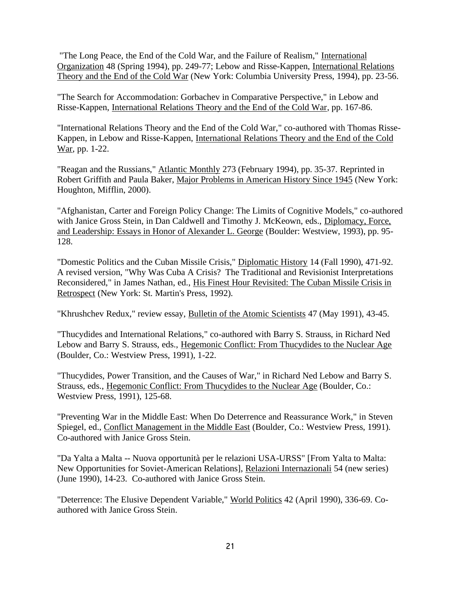"The Long Peace, the End of the Cold War, and the Failure of Realism," International Organization 48 (Spring 1994), pp. 249-77; Lebow and Risse-Kappen, International Relations Theory and the End of the Cold War (New York: Columbia University Press, 1994), pp. 23-56.

"The Search for Accommodation: Gorbachev in Comparative Perspective," in Lebow and Risse-Kappen, International Relations Theory and the End of the Cold War, pp. 167-86.

"International Relations Theory and the End of the Cold War," co-authored with Thomas Risse-Kappen, in Lebow and Risse-Kappen, International Relations Theory and the End of the Cold War, pp. 1-22.

"Reagan and the Russians," Atlantic Monthly 273 (February 1994), pp. 35-37. Reprinted in Robert Griffith and Paula Baker, Major Problems in American History Since 1945 (New York: Houghton, Mifflin, 2000).

"Afghanistan, Carter and Foreign Policy Change: The Limits of Cognitive Models," co-authored with Janice Gross Stein, in Dan Caldwell and Timothy J. McKeown, eds., Diplomacy, Force, and Leadership: Essays in Honor of Alexander L. George (Boulder: Westview, 1993), pp. 95- 128.

"Domestic Politics and the Cuban Missile Crisis," Diplomatic History 14 (Fall 1990), 471-92. A revised version, "Why Was Cuba A Crisis? The Traditional and Revisionist Interpretations Reconsidered," in James Nathan, ed., His Finest Hour Revisited: The Cuban Missile Crisis in Retrospect (New York: St. Martin's Press, 1992).

"Khrushchev Redux," review essay, Bulletin of the Atomic Scientists 47 (May 1991), 43-45.

"Thucydides and International Relations," co-authored with Barry S. Strauss, in Richard Ned Lebow and Barry S. Strauss, eds., Hegemonic Conflict: From Thucydides to the Nuclear Age (Boulder, Co.: Westview Press, 1991), 1-22.

"Thucydides, Power Transition, and the Causes of War," in Richard Ned Lebow and Barry S. Strauss, eds., Hegemonic Conflict: From Thucydides to the Nuclear Age (Boulder, Co.: Westview Press, 1991), 125-68.

"Preventing War in the Middle East: When Do Deterrence and Reassurance Work," in Steven Spiegel, ed., Conflict Management in the Middle East (Boulder, Co.: Westview Press, 1991). Co-authored with Janice Gross Stein.

"Da Yalta a Malta -- Nuova opportunità per le relazioni USA-URSS" [From Yalta to Malta: New Opportunities for Soviet-American Relations], Relazioni Internazionali 54 (new series) (June 1990), 14-23. Co-authored with Janice Gross Stein.

"Deterrence: The Elusive Dependent Variable," World Politics 42 (April 1990), 336-69. Coauthored with Janice Gross Stein.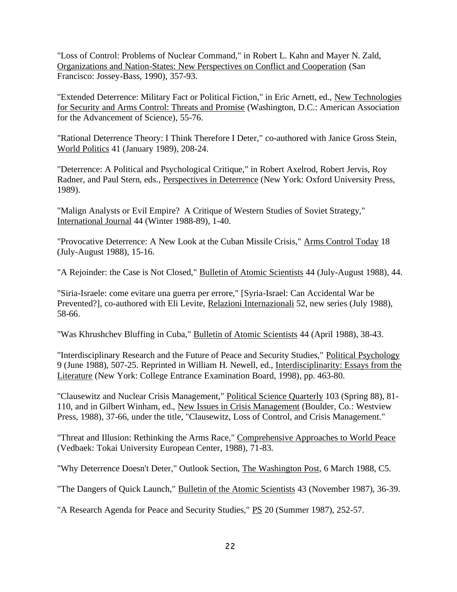"Loss of Control: Problems of Nuclear Command," in Robert L. Kahn and Mayer N. Zald, Organizations and Nation-States: New Perspectives on Conflict and Cooperation (San Francisco: Jossey-Bass, 1990), 357-93.

"Extended Deterrence: Military Fact or Political Fiction," in Eric Arnett, ed., New Technologies for Security and Arms Control: Threats and Promise (Washington, D.C.: American Association for the Advancement of Science), 55-76.

"Rational Deterrence Theory: I Think Therefore I Deter," co-authored with Janice Gross Stein, World Politics 41 (January 1989), 208-24.

"Deterrence: A Political and Psychological Critique," in Robert Axelrod, Robert Jervis, Roy Radner, and Paul Stern, eds., Perspectives in Deterrence (New York: Oxford University Press, 1989).

"Malign Analysts or Evil Empire? A Critique of Western Studies of Soviet Strategy," International Journal 44 (Winter 1988-89), 1-40.

"Provocative Deterrence: A New Look at the Cuban Missile Crisis," Arms Control Today 18 (July-August 1988), 15-16.

"A Rejoinder: the Case is Not Closed," Bulletin of Atomic Scientists 44 (July-August 1988), 44.

"Siria-Israele: come evitare una guerra per errore," [Syria-Israel: Can Accidental War be Prevented?], co-authored with Eli Levite, Relazioni Internazionali 52, new series (July 1988), 58-66.

"Was Khrushchev Bluffing in Cuba," Bulletin of Atomic Scientists 44 (April 1988), 38-43.

"Interdisciplinary Research and the Future of Peace and Security Studies," Political Psychology 9 (June 1988), 507-25. Reprinted in William H. Newell, ed., Interdisciplinarity: Essays from the Literature (New York: College Entrance Examination Board, 1998), pp. 463-80.

"Clausewitz and Nuclear Crisis Management," Political Science Quarterly 103 (Spring 88), 81- 110, and in Gilbert Winham, ed., New Issues in Crisis Management (Boulder, Co.: Westview Press, 1988), 37-66, under the title, "Clausewitz, Loss of Control, and Crisis Management."

"Threat and Illusion: Rethinking the Arms Race," Comprehensive Approaches to World Peace (Vedbaek: Tokai University European Center, 1988), 71-83.

"Why Deterrence Doesn't Deter," Outlook Section, The Washington Post, 6 March 1988, C5.

"The Dangers of Quick Launch," Bulletin of the Atomic Scientists 43 (November 1987), 36-39.

"A Research Agenda for Peace and Security Studies," PS 20 (Summer 1987), 252-57.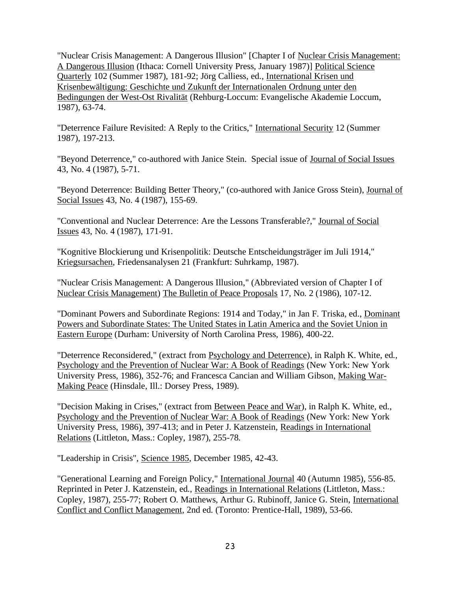"Nuclear Crisis Management: A Dangerous Illusion" [Chapter I of Nuclear Crisis Management: A Dangerous Illusion (Ithaca: Cornell University Press, January 1987)] Political Science Quarterly 102 (Summer 1987), 181-92; Jörg Calliess, ed., International Krisen und Krisenbewältigung: Geschichte und Zukunft der Internationalen Ordnung unter den Bedingungen der West-Ost Rivalität (Rehburg-Loccum: Evangelische Akademie Loccum, 1987), 63-74.

"Deterrence Failure Revisited: A Reply to the Critics," International Security 12 (Summer 1987), 197-213.

"Beyond Deterrence," co-authored with Janice Stein. Special issue of Journal of Social Issues 43, No. 4 (1987), 5-71.

"Beyond Deterrence: Building Better Theory," (co-authored with Janice Gross Stein), Journal of Social Issues 43, No. 4 (1987), 155-69.

"Conventional and Nuclear Deterrence: Are the Lessons Transferable?," Journal of Social Issues 43, No. 4 (1987), 171-91.

"Kognitive Blockierung und Krisenpolitik: Deutsche Entscheidungsträger im Juli 1914," Kriegsursachen, Friedensanalysen 21 (Frankfurt: Suhrkamp, 1987).

"Nuclear Crisis Management: A Dangerous Illusion," (Abbreviated version of Chapter I of Nuclear Crisis Management) The Bulletin of Peace Proposals 17, No. 2 (1986), 107-12.

"Dominant Powers and Subordinate Regions: 1914 and Today," in Jan F. Triska, ed., Dominant Powers and Subordinate States: The United States in Latin America and the Soviet Union in Eastern Europe (Durham: University of North Carolina Press, 1986), 400-22.

"Deterrence Reconsidered," (extract from Psychology and Deterrence), in Ralph K. White, ed., Psychology and the Prevention of Nuclear War: A Book of Readings (New York: New York University Press, 1986), 352-76; and Francesca Cancian and William Gibson, Making War-Making Peace (Hinsdale, Ill.: Dorsey Press, 1989).

"Decision Making in Crises," (extract from Between Peace and War), in Ralph K. White, ed., Psychology and the Prevention of Nuclear War: A Book of Readings (New York: New York University Press, 1986), 397-413; and in Peter J. Katzenstein, Readings in International Relations (Littleton, Mass.: Copley, 1987), 255-78.

"Leadership in Crisis", Science 1985, December 1985, 42-43.

"Generational Learning and Foreign Policy," International Journal 40 (Autumn 1985), 556-85. Reprinted in Peter J. Katzenstein, ed., Readings in International Relations (Littleton, Mass.: Copley, 1987), 255-77; Robert O. Matthews, Arthur G. Rubinoff, Janice G. Stein, International Conflict and Conflict Management, 2nd ed. (Toronto: Prentice-Hall, 1989), 53-66.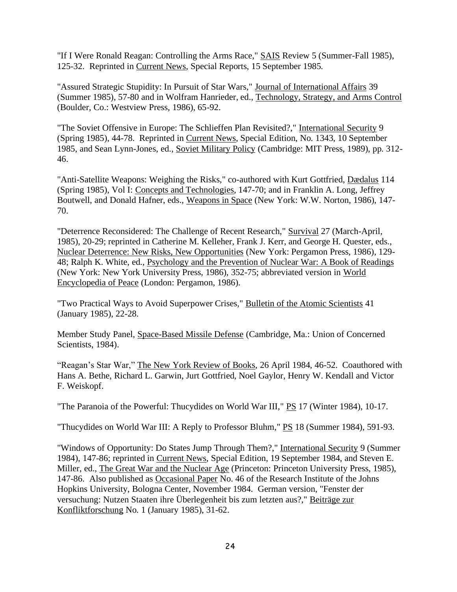"If I Were Ronald Reagan: Controlling the Arms Race," SAIS Review 5 (Summer-Fall 1985), 125-32. Reprinted in Current News, Special Reports, 15 September 1985.

"Assured Strategic Stupidity: In Pursuit of Star Wars," Journal of International Affairs 39 (Summer 1985), 57-80 and in Wolfram Hanrieder, ed., Technology, Strategy, and Arms Control (Boulder, Co.: Westview Press, 1986), 65-92.

"The Soviet Offensive in Europe: The Schlieffen Plan Revisited?," International Security 9 (Spring 1985), 44-78. Reprinted in Current News, Special Edition, No. 1343, 10 September 1985, and Sean Lynn-Jones, ed., Soviet Military Policy (Cambridge: MIT Press, 1989), pp. 312- 46.

"Anti-Satellite Weapons: Weighing the Risks," co-authored with Kurt Gottfried, Dædalus 114 (Spring 1985), Vol I: Concepts and Technologies, 147-70; and in Franklin A. Long, Jeffrey Boutwell, and Donald Hafner, eds., Weapons in Space (New York: W.W. Norton, 1986), 147- 70.

"Deterrence Reconsidered: The Challenge of Recent Research," Survival 27 (March-April, 1985), 20-29; reprinted in Catherine M. Kelleher, Frank J. Kerr, and George H. Quester, eds., Nuclear Deterrence: New Risks, New Opportunities (New York: Pergamon Press, 1986), 129- 48; Ralph K. White, ed., Psychology and the Prevention of Nuclear War: A Book of Readings (New York: New York University Press, 1986), 352-75; abbreviated version in World Encyclopedia of Peace (London: Pergamon, 1986).

"Two Practical Ways to Avoid Superpower Crises," Bulletin of the Atomic Scientists 41 (January 1985), 22-28.

Member Study Panel, Space-Based Missile Defense (Cambridge, Ma.: Union of Concerned Scientists, 1984).

"Reagan's Star War," The New York Review of Books, 26 April 1984, 46-52. Coauthored with Hans A. Bethe, Richard L. Garwin, Jurt Gottfried, Noel Gaylor, Henry W. Kendall and Victor F. Weiskopf.

"The Paranoia of the Powerful: Thucydides on World War III," PS 17 (Winter 1984), 10-17.

"Thucydides on World War III: A Reply to Professor Bluhm," PS 18 (Summer 1984), 591-93.

"Windows of Opportunity: Do States Jump Through Them?," International Security 9 (Summer 1984), 147-86; reprinted in Current News, Special Edition, 19 September 1984, and Steven E. Miller, ed., The Great War and the Nuclear Age (Princeton: Princeton University Press, 1985), 147-86. Also published as Occasional Paper No. 46 of the Research Institute of the Johns Hopkins University, Bologna Center, November 1984. German version, "Fenster der versuchung: Nutzen Staaten ihre Überlegenheit bis zum letzten aus?," Beiträge zur Konfliktforschung No. 1 (January 1985), 31-62.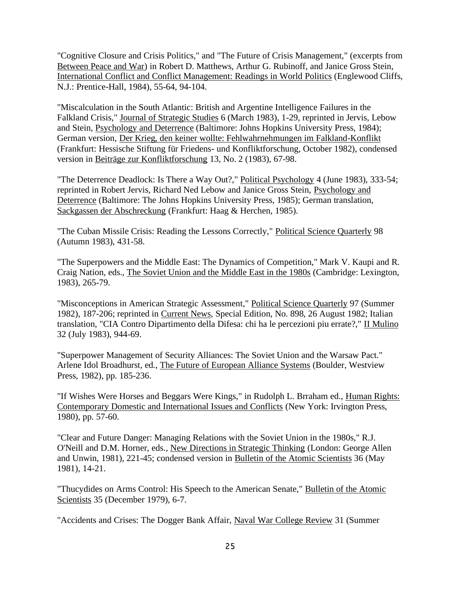"Cognitive Closure and Crisis Politics," and "The Future of Crisis Management," (excerpts from Between Peace and War) in Robert D. Matthews, Arthur G. Rubinoff, and Janice Gross Stein, International Conflict and Conflict Management: Readings in World Politics (Englewood Cliffs, N.J.: Prentice-Hall, 1984), 55-64, 94-104.

"Miscalculation in the South Atlantic: British and Argentine Intelligence Failures in the Falkland Crisis," Journal of Strategic Studies 6 (March 1983), 1-29, reprinted in Jervis, Lebow and Stein, Psychology and Deterrence (Baltimore: Johns Hopkins University Press, 1984); German version, Der Krieg, den keiner wollte: Fehlwahrnehmungen im Falkland-Konflikt (Frankfurt: Hessische Stiftung für Friedens- und Konfliktforschung, October 1982), condensed version in Beiträge zur Konfliktforschung 13, No. 2 (1983), 67-98.

"The Deterrence Deadlock: Is There a Way Out?," Political Psychology 4 (June 1983), 333-54; reprinted in Robert Jervis, Richard Ned Lebow and Janice Gross Stein, Psychology and Deterrence (Baltimore: The Johns Hopkins University Press, 1985); German translation, Sackgassen der Abschreckung (Frankfurt: Haag & Herchen, 1985).

"The Cuban Missile Crisis: Reading the Lessons Correctly," Political Science Quarterly 98 (Autumn 1983), 431-58.

"The Superpowers and the Middle East: The Dynamics of Competition," Mark V. Kaupi and R. Craig Nation, eds., The Soviet Union and the Middle East in the 1980s (Cambridge: Lexington, 1983), 265-79.

"Misconceptions in American Strategic Assessment," Political Science Quarterly 97 (Summer 1982), 187-206; reprinted in Current News, Special Edition, No. 898, 26 August 1982; Italian translation, "CIA Contro Dipartimento della Difesa: chi ha le percezioni piu errate?," II Mulino 32 (July 1983), 944-69.

"Superpower Management of Security Alliances: The Soviet Union and the Warsaw Pact." Arlene Idol Broadhurst, ed., The Future of European Alliance Systems (Boulder, Westview Press, 1982), pp. 185-236.

"If Wishes Were Horses and Beggars Were Kings," in Rudolph L. Brraham ed., Human Rights: Contemporary Domestic and International Issues and Conflicts (New York: Irvington Press, 1980), pp. 57-60.

"Clear and Future Danger: Managing Relations with the Soviet Union in the 1980s," R.J. O'Neill and D.M. Horner, eds., New Directions in Strategic Thinking (London: George Allen and Unwin, 1981), 221-45; condensed version in Bulletin of the Atomic Scientists 36 (May 1981), 14-21.

"Thucydides on Arms Control: His Speech to the American Senate," Bulletin of the Atomic Scientists 35 (December 1979), 6-7.

"Accidents and Crises: The Dogger Bank Affair, Naval War College Review 31 (Summer